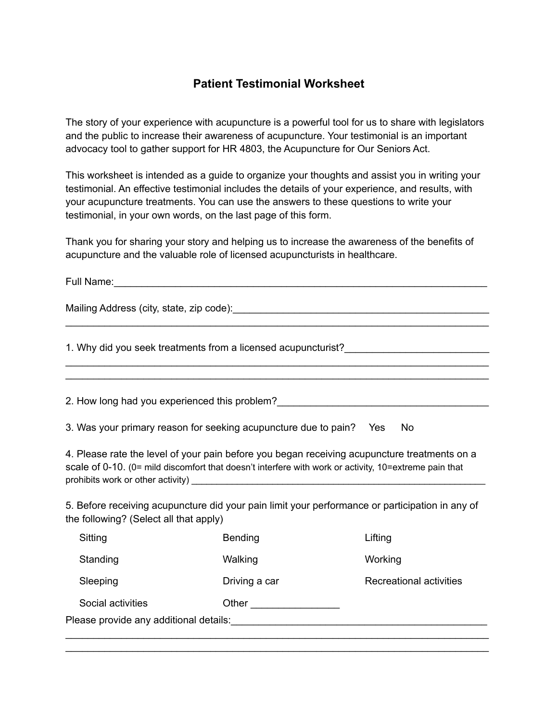## **Patient Testimonial Worksheet**

The story of your experience with acupuncture is a powerful tool for us to share with legislators and the public to increase their awareness of acupuncture. Your testimonial is an important advocacy tool to gather support for HR 4803, the Acupuncture for Our Seniors Act.

This worksheet is intended as a guide to organize your thoughts and assist you in writing your testimonial. An effective testimonial includes the details of your experience, and results, with your acupuncture treatments. You can use the answers to these questions to write your testimonial, in your own words, on the last page of this form.

Thank you for sharing your story and helping us to increase the awareness of the benefits of acupuncture and the valuable role of licensed acupuncturists in healthcare.

\_\_\_\_\_\_\_\_\_\_\_\_\_\_\_\_\_\_\_\_\_\_\_\_\_\_\_\_\_\_\_\_\_\_\_\_\_\_\_\_\_\_\_\_\_\_\_\_\_\_\_\_\_\_\_\_\_\_\_\_\_\_\_\_\_\_\_\_\_\_\_\_\_\_\_\_

\_\_\_\_\_\_\_\_\_\_\_\_\_\_\_\_\_\_\_\_\_\_\_\_\_\_\_\_\_\_\_\_\_\_\_\_\_\_\_\_\_\_\_\_\_\_\_\_\_\_\_\_\_\_\_\_\_\_\_\_\_\_\_\_\_\_\_\_\_\_\_\_\_\_\_\_ \_\_\_\_\_\_\_\_\_\_\_\_\_\_\_\_\_\_\_\_\_\_\_\_\_\_\_\_\_\_\_\_\_\_\_\_\_\_\_\_\_\_\_\_\_\_\_\_\_\_\_\_\_\_\_\_\_\_\_\_\_\_\_\_\_\_\_\_\_\_\_\_\_\_\_\_

Full Name: with the set of the set of the set of the set of the set of the set of the set of the set of the set of the set of the set of the set of the set of the set of the set of the set of the set of the set of the set

Mailing Address (city, state, zip code):\_\_\_\_\_\_\_\_\_\_\_\_\_\_\_\_\_\_\_\_\_\_\_\_\_\_\_\_\_\_\_\_\_\_\_\_\_\_\_\_\_\_\_\_\_\_

1. Why did you seek treatments from a licensed acupuncturist?\_\_\_\_\_\_\_\_\_\_\_\_\_\_\_\_\_\_\_\_

2. How long had you experienced this problem?

3. Was your primary reason for seeking acupuncture due to pain? Yes No

4. Please rate the level of your pain before you began receiving acupuncture treatments on a scale of 0-10. (0= mild discomfort that doesn't interfere with work or activity, 10=extreme pain that prohibits work or other activity)  $\blacksquare$ 

5. Before receiving acupuncture did your pain limit your performance or participation in any of the following? (Select all that apply)

|                                        | Sitting           | <b>Bending</b> | Lifting                 |  |  |
|----------------------------------------|-------------------|----------------|-------------------------|--|--|
|                                        | Standing          | Walking        | Working                 |  |  |
|                                        | Sleeping          | Driving a car  | Recreational activities |  |  |
|                                        | Social activities | Other          |                         |  |  |
| Please provide any additional details: |                   |                |                         |  |  |
|                                        |                   |                |                         |  |  |

\_\_\_\_\_\_\_\_\_\_\_\_\_\_\_\_\_\_\_\_\_\_\_\_\_\_\_\_\_\_\_\_\_\_\_\_\_\_\_\_\_\_\_\_\_\_\_\_\_\_\_\_\_\_\_\_\_\_\_\_\_\_\_\_\_\_\_\_\_\_\_\_\_\_\_\_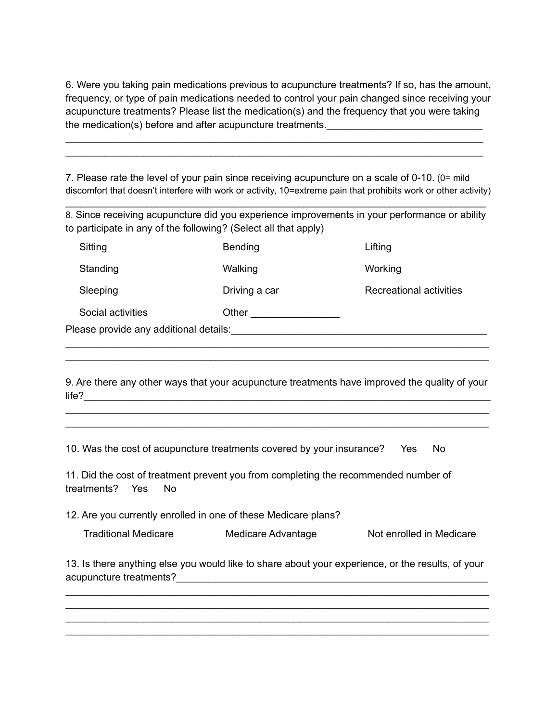6. Were you taking pain medications previous to acupuncture treatments? If so, has the amount, frequency, or type of pain medications needed to control your pain changed since receiving your acupuncture treatments? Please list the medication(s) and the frequency that you were taking the medication(s) before and after acupuncture treatments.

\_\_\_\_\_\_\_\_\_\_\_\_\_\_\_\_\_\_\_\_\_\_\_\_\_\_\_\_\_\_\_\_\_\_\_\_\_\_\_\_\_\_\_\_\_\_\_\_\_\_\_\_\_\_\_\_\_\_\_\_\_\_\_\_\_\_\_\_\_\_\_\_\_\_\_ \_\_\_\_\_\_\_\_\_\_\_\_\_\_\_\_\_\_\_\_\_\_\_\_\_\_\_\_\_\_\_\_\_\_\_\_\_\_\_\_\_\_\_\_\_\_\_\_\_\_\_\_\_\_\_\_\_\_\_\_\_\_\_\_\_\_\_\_\_\_\_\_\_\_\_

7. Please rate the level of your pain since receiving acupuncture on a scale of 0-10. (0= mild discomfort that doesn't interfere with work or activity, 10=extreme pain that prohibits work or other activity)

8. Since receiving acupuncture did you experience improvements in your performance or ability to participate in any of the following? (Select all that apply)

 $\_$  ,  $\_$  ,  $\_$  ,  $\_$  ,  $\_$  ,  $\_$  ,  $\_$  ,  $\_$  ,  $\_$  ,  $\_$  ,  $\_$  ,  $\_$  ,  $\_$  ,  $\_$  ,  $\_$  ,  $\_$  ,  $\_$  ,  $\_$  ,  $\_$  ,  $\_$ 

| Sitting                                | Bending       | Lifting                 |  |  |  |  |
|----------------------------------------|---------------|-------------------------|--|--|--|--|
| Standing                               | Walking       | Working                 |  |  |  |  |
| Sleeping                               | Driving a car | Recreational activities |  |  |  |  |
| Social activities                      | Other         |                         |  |  |  |  |
| Please provide any additional details: |               |                         |  |  |  |  |
|                                        |               |                         |  |  |  |  |

9. Are there any other ways that your acupuncture treatments have improved the quality of your  $\blacksquare$ life?

\_\_\_\_\_\_\_\_\_\_\_\_\_\_\_\_\_\_\_\_\_\_\_\_\_\_\_\_\_\_\_\_\_\_\_\_\_\_\_\_\_\_\_\_\_\_\_\_\_\_\_\_\_\_\_\_\_\_\_\_\_\_\_\_\_\_\_\_\_\_\_\_\_\_\_\_ \_\_\_\_\_\_\_\_\_\_\_\_\_\_\_\_\_\_\_\_\_\_\_\_\_\_\_\_\_\_\_\_\_\_\_\_\_\_\_\_\_\_\_\_\_\_\_\_\_\_\_\_\_\_\_\_\_\_\_\_\_\_\_\_\_\_\_\_\_\_\_\_\_\_\_\_

\_\_\_\_\_\_\_\_\_\_\_\_\_\_\_\_\_\_\_\_\_\_\_\_\_\_\_\_\_\_\_\_\_\_\_\_\_\_\_\_\_\_\_\_\_\_\_\_\_\_\_\_\_\_\_\_\_\_\_\_\_\_\_\_\_\_\_\_\_\_\_\_\_\_\_\_

10. Was the cost of acupuncture treatments covered by your insurance? Yes No

11. Did the cost of treatment prevent you from completing the recommended number of treatments? Yes No

12. Are you currently enrolled in one of these Medicare plans?

| <b>Traditional Medicare</b> | Medicare Advantage | Not enrolled in Medicare |
|-----------------------------|--------------------|--------------------------|
|-----------------------------|--------------------|--------------------------|

13. Is there anything else you would like to share about your experience, or the results, of your acupuncture treatments?\_\_\_\_\_\_\_\_\_\_\_\_\_\_\_\_\_\_\_\_\_\_\_\_\_\_\_\_\_\_\_\_\_\_\_\_\_\_\_\_\_\_\_\_\_\_\_\_\_\_\_\_\_\_\_\_

\_\_\_\_\_\_\_\_\_\_\_\_\_\_\_\_\_\_\_\_\_\_\_\_\_\_\_\_\_\_\_\_\_\_\_\_\_\_\_\_\_\_\_\_\_\_\_\_\_\_\_\_\_\_\_\_\_\_\_\_\_\_\_\_\_\_\_\_\_\_\_\_\_\_\_\_ \_\_\_\_\_\_\_\_\_\_\_\_\_\_\_\_\_\_\_\_\_\_\_\_\_\_\_\_\_\_\_\_\_\_\_\_\_\_\_\_\_\_\_\_\_\_\_\_\_\_\_\_\_\_\_\_\_\_\_\_\_\_\_\_\_\_\_\_\_\_\_\_\_\_\_\_ \_\_\_\_\_\_\_\_\_\_\_\_\_\_\_\_\_\_\_\_\_\_\_\_\_\_\_\_\_\_\_\_\_\_\_\_\_\_\_\_\_\_\_\_\_\_\_\_\_\_\_\_\_\_\_\_\_\_\_\_\_\_\_\_\_\_\_\_\_\_\_\_\_\_\_\_ \_\_\_\_\_\_\_\_\_\_\_\_\_\_\_\_\_\_\_\_\_\_\_\_\_\_\_\_\_\_\_\_\_\_\_\_\_\_\_\_\_\_\_\_\_\_\_\_\_\_\_\_\_\_\_\_\_\_\_\_\_\_\_\_\_\_\_\_\_\_\_\_\_\_\_\_